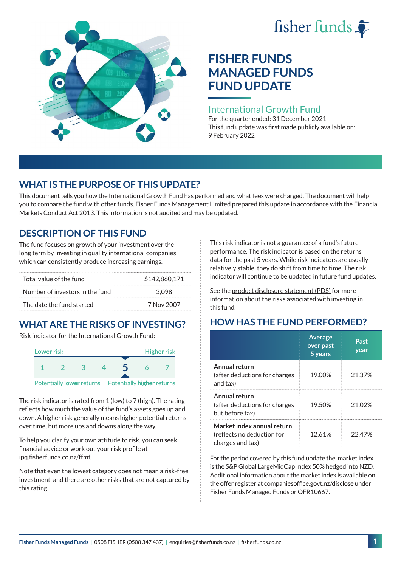# fisher funds  $\hat{\bullet}$



# **FISHER FUNDS MANAGED FUNDS FUND UPDATE**

## International Growth Fund

For the quarter ended: 31 December 2021 This fund update was first made publicly available on: 9 February 2022

# **WHAT IS THE PURPOSE OF THIS UPDATE?**

This document tells you how the International Growth Fund has performed and what fees were charged. The document will help you to compare the fund with other funds. Fisher Funds Management Limited prepared this update in accordance with the Financial Markets Conduct Act 2013. This information is not audited and may be updated.

# **DESCRIPTION OF THIS FUND**

The fund focuses on growth of your investment over the long term by investing in quality international companies which can consistently produce increasing earnings.

| Total value of the fund         | \$142,860,171 |
|---------------------------------|---------------|
| Number of investors in the fund | 3.098         |
| The date the fund started       | 7 Nov 2007    |

# **WHAT ARE THE RISKS OF INVESTING?**

Risk indicator for the International Growth Fund:



The risk indicator is rated from 1 (low) to 7 (high). The rating reflects how much the value of the fund's assets goes up and down. A higher risk generally means higher potential returns over time, but more ups and downs along the way.

To help you clarify your own attitude to risk, you can seek financial advice or work out your risk profile at [ipq.fisherfunds.co.nz/ffmf](https://ipq.fisherfunds.co.nz/ffmf).

Note that even the lowest category does not mean a risk-free investment, and there are other risks that are not captured by this rating.

This risk indicator is not a guarantee of a fund's future performance. The risk indicator is based on the returns data for the past 5 years. While risk indicators are usually relatively stable, they do shift from time to time. The risk indicator will continue to be updated in future fund updates.

See the [product disclosure statement \(PDS\)](https://fisherfunds.co.nz/assets/PDS/Fisher-Funds-Managed-Funds-PDS.pdf) for more information about the risks associated with investing in this fund.

# **HOW HAS THE FUND PERFORMED?**

|                                                                              | <b>Average</b><br>over past<br>5 years | Past<br>year |
|------------------------------------------------------------------------------|----------------------------------------|--------------|
| Annual return<br>(after deductions for charges<br>and tax)                   | 19.00%                                 | 21.37%       |
| Annual return<br>(after deductions for charges<br>but before tax)            | 19.50%                                 | 21.02%       |
| Market index annual return<br>(reflects no deduction for<br>charges and tax) | 12.61%                                 | 22.47%       |

For the period covered by this fund update the market index is the S&P Global LargeMidCap Index 50% hedged into NZD. Additional information about the market index is available on the offer register at [companiesoffice.govt.nz/disclose](http://companiesoffice.govt.nz/disclose) under Fisher Funds Managed Funds or OFR10667.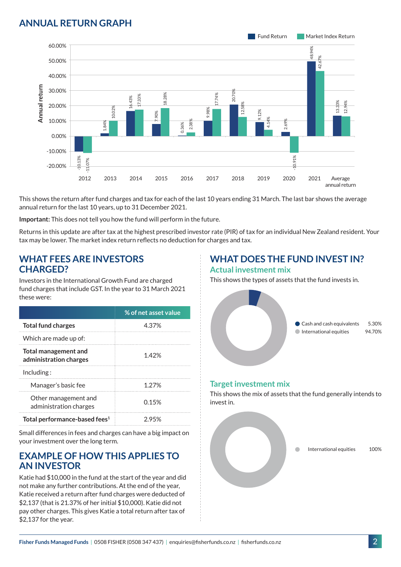# **ANNUAL RETURN GRAPH**



This shows the return after fund charges and tax for each of the last 10 years ending 31 March. The last bar shows the average annual return for the last 10 years, up to 31 December 2021.

**Important:** This does not tell you how the fund will perform in the future.

Returns in this update are after tax at the highest prescribed investor rate (PIR) of tax for an individual New Zealand resident. Your tax may be lower. The market index return reflects no deduction for charges and tax.

### **WHAT FEES ARE INVESTORS CHARGED?**

Investors in the International Growth Fund are charged fund charges that include GST. In the year to 31 March 2021 these were:

|                                                | % of net asset value |
|------------------------------------------------|----------------------|
| <b>Total fund charges</b>                      | 4.37%                |
| Which are made up of:                          |                      |
| Total management and<br>administration charges | 1.42%                |
| Inding:                                        |                      |
| Manager's basic fee                            | 1.27%                |
| Other management and<br>administration charges | 0.15%                |
| Total performance-based fees <sup>1</sup>      | 2.95%                |

Small differences in fees and charges can have a big impact on your investment over the long term.

## **EXAMPLE OF HOW THIS APPLIES TO AN INVESTOR**

Katie had \$10,000 in the fund at the start of the year and did not make any further contributions. At the end of the year, Katie received a return after fund charges were deducted of \$2,137 (that is 21.37% of her initial \$10,000). Katie did not pay other charges. This gives Katie a total return after tax of \$2,137 for the year.

# **WHAT DOES THE FUND INVEST IN?**

#### **Actual investment mix**

This shows the types of assets that the fund invests in.



#### **Target investment mix**

This shows the mix of assets that the fund generally intends to invest in.